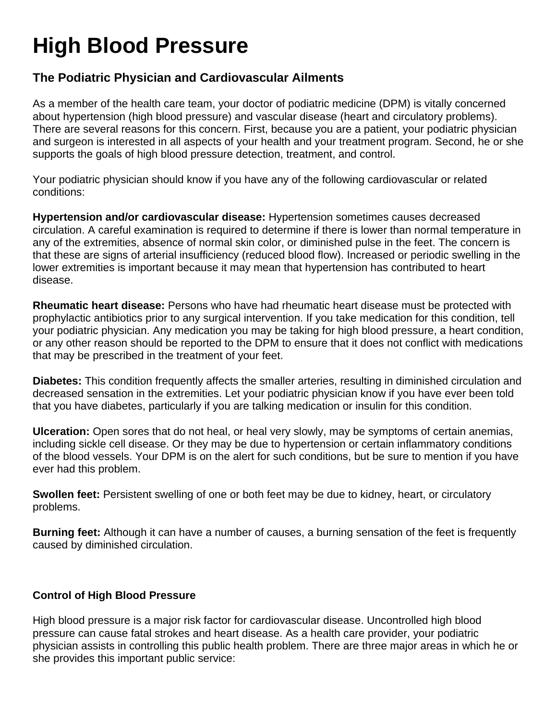## **High Blood Pressure**

## **The Podiatric Physician and Cardiovascular Ailments**

As a member of the health care team, your doctor of podiatric medicine (DPM) is vitally concerned about hypertension (high blood pressure) and vascular disease (heart and circulatory problems). There are several reasons for this concern. First, because you are a patient, your podiatric physician and surgeon is interested in all aspects of your health and your treatment program. Second, he or she supports the goals of high blood pressure detection, treatment, and control.

Your podiatric physician should know if you have any of the following cardiovascular or related conditions:

**Hypertension and/or cardiovascular disease:** Hypertension sometimes causes decreased circulation. A careful examination is required to determine if there is lower than normal temperature in any of the extremities, absence of normal skin color, or diminished pulse in the feet. The concern is that these are signs of arterial insufficiency (reduced blood flow). Increased or periodic swelling in the lower extremities is important because it may mean that hypertension has contributed to heart disease.

**Rheumatic heart disease:** Persons who have had rheumatic heart disease must be protected with prophylactic antibiotics prior to any surgical intervention. If you take medication for this condition, tell your podiatric physician. Any medication you may be taking for high blood pressure, a heart condition, or any other reason should be reported to the DPM to ensure that it does not conflict with medications that may be prescribed in the treatment of your feet.

**Diabetes:** This condition frequently affects the smaller arteries, resulting in diminished circulation and decreased sensation in the extremities. Let your podiatric physician know if you have ever been told that you have diabetes, particularly if you are talking medication or insulin for this condition.

**Ulceration:** Open sores that do not heal, or heal very slowly, may be symptoms of certain anemias, including sickle cell disease. Or they may be due to hypertension or certain inflammatory conditions of the blood vessels. Your DPM is on the alert for such conditions, but be sure to mention if you have ever had this problem.

**Swollen feet:** Persistent swelling of one or both feet may be due to kidney, heart, or circulatory problems.

**Burning feet:** Although it can have a number of causes, a burning sensation of the feet is frequently caused by diminished circulation.

## **Control of High Blood Pressure**

High blood pressure is a major risk factor for cardiovascular disease. Uncontrolled high blood pressure can cause fatal strokes and heart disease. As a health care provider, your podiatric physician assists in controlling this public health problem. There are three major areas in which he or she provides this important public service: